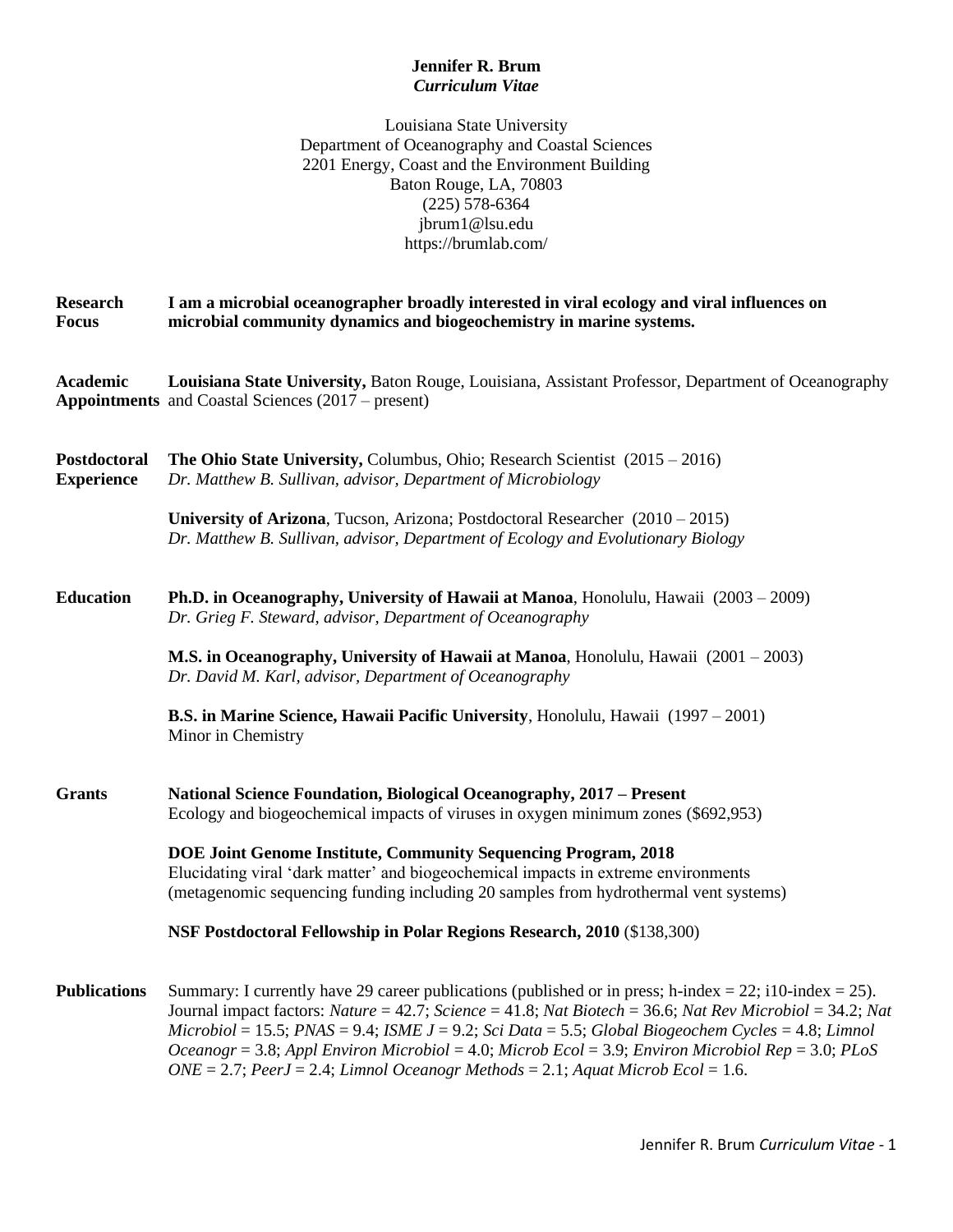# **Jennifer R. Brum** *Curriculum Vitae*

Louisiana State University Department of Oceanography and Coastal Sciences 2201 Energy, Coast and the Environment Building Baton Rouge, LA, 70803 (225) 578-6364 jbrum1@lsu.edu https://brumlab.com/

**Research I am a microbial oceanographer broadly interested in viral ecology and viral influences on Focus microbial community dynamics and biogeochemistry in marine systems.**

**Academic Louisiana State University,** Baton Rouge, Louisiana, Assistant Professor, Department of Oceanography **Appointments** and Coastal Sciences (2017 – present)

| Postdoctoral<br><b>Experience</b> | <b>The Ohio State University, Columbus, Ohio; Research Scientist</b> $(2015 - 2016)$<br>Dr. Matthew B. Sullivan, advisor, Department of Microbiology                                                                                                                                                                                                                                                                                    |
|-----------------------------------|-----------------------------------------------------------------------------------------------------------------------------------------------------------------------------------------------------------------------------------------------------------------------------------------------------------------------------------------------------------------------------------------------------------------------------------------|
|                                   | University of Arizona, Tucson, Arizona; Postdoctoral Researcher $(2010 - 2015)$<br>Dr. Matthew B. Sullivan, advisor, Department of Ecology and Evolutionary Biology                                                                                                                                                                                                                                                                     |
| <b>Education</b>                  | <b>Ph.D. in Oceanography, University of Hawaii at Manoa</b> , Honolulu, Hawaii (2003 – 2009)<br>Dr. Grieg F. Steward, advisor, Department of Oceanography                                                                                                                                                                                                                                                                               |
|                                   | M.S. in Oceanography, University of Hawaii at Manoa, Honolulu, Hawaii (2001 – 2003)<br>Dr. David M. Karl, advisor, Department of Oceanography                                                                                                                                                                                                                                                                                           |
|                                   | <b>B.S. in Marine Science, Hawaii Pacific University, Honolulu, Hawaii</b> (1997 – 2001)<br>Minor in Chemistry                                                                                                                                                                                                                                                                                                                          |
| <b>Grants</b>                     | National Science Foundation, Biological Oceanography, 2017 - Present<br>Ecology and biogeochemical impacts of viruses in oxygen minimum zones (\$692,953)                                                                                                                                                                                                                                                                               |
|                                   | DOE Joint Genome Institute, Community Sequencing Program, 2018<br>Elucidating viral 'dark matter' and biogeochemical impacts in extreme environments<br>(metagenomic sequencing funding including 20 samples from hydrothermal vent systems)                                                                                                                                                                                            |
|                                   | NSF Postdoctoral Fellowship in Polar Regions Research, 2010 (\$138,300)                                                                                                                                                                                                                                                                                                                                                                 |
| <b>Publications</b>               | Summary: I currently have 29 career publications (published or in press; h-index = 22; i10-index = 25).<br>Journal impact factors: Nature = 42.7; Science = 41.8; Nat Biotech = 36.6; Nat Rev Microbiol = 34.2; Nat<br>$Microbiol = 15.5$ ; $PNAS = 9.4$ ; $ISMEJ = 9.2$ ; Sci Data = 5.5; Global Biogeochem Cycles = 4.8; Limnol<br>Oceanogr = 3.8; Appl Environ Microbiol = 4.0; Microb Ecol = 3.9; Environ Microbiol Rep = 3.0; PLoS |

*ONE* = 2.7; *PeerJ* = 2.4; *Limnol Oceanogr Methods* = 2.1; *Aquat Microb Ecol* = 1.6.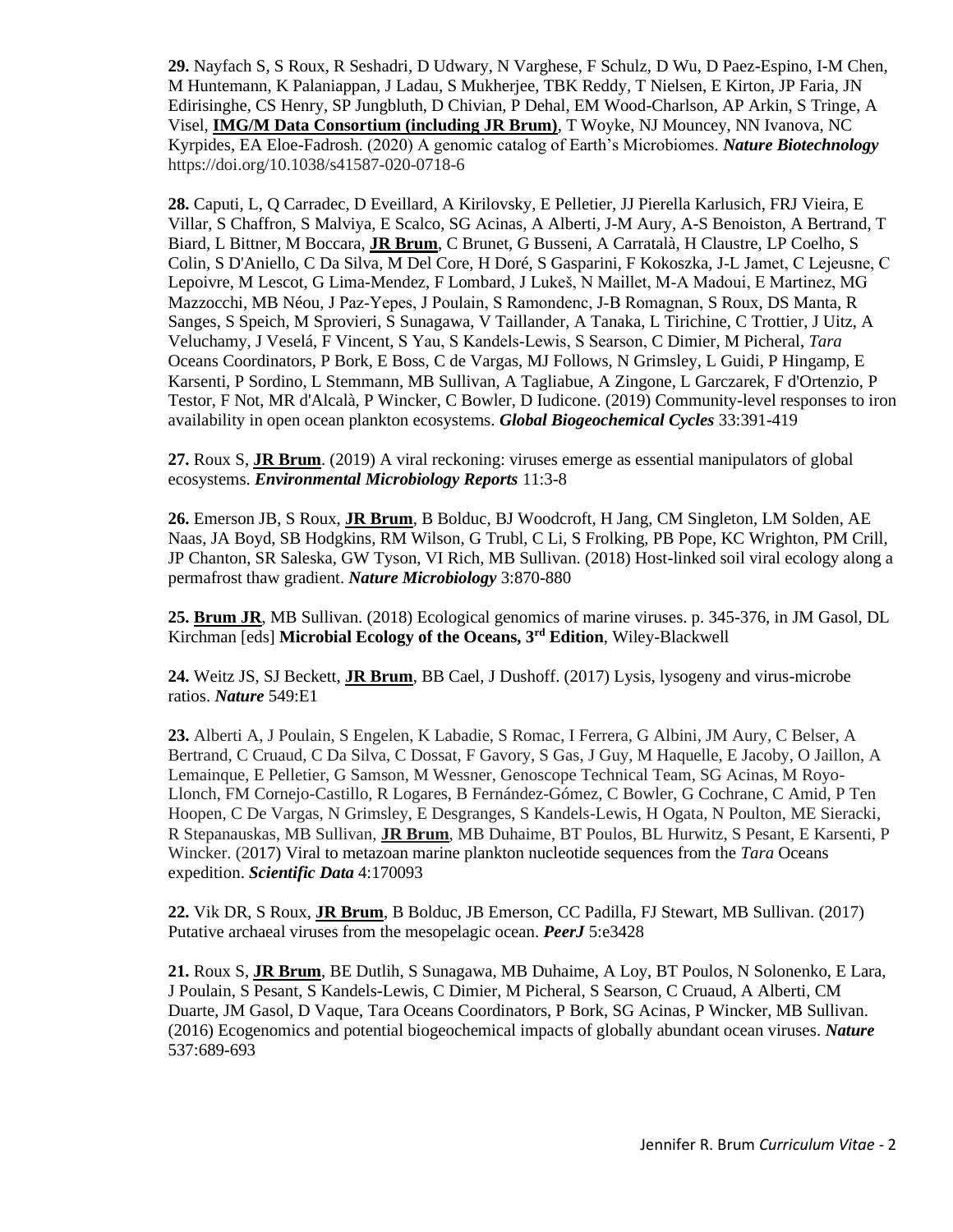**29.** Nayfach S, S Roux, R Seshadri, D Udwary, N Varghese, F Schulz, D Wu, D Paez-Espino, I-M Chen, M Huntemann, K Palaniappan, J Ladau, S Mukherjee, TBK Reddy, T Nielsen, E Kirton, JP Faria, JN Edirisinghe, CS Henry, SP Jungbluth, D Chivian, P Dehal, EM Wood-Charlson, AP Arkin, S Tringe, A Visel, **IMG/M Data Consortium (including JR Brum)**, T Woyke, NJ Mouncey, NN Ivanova, NC Kyrpides, EA Eloe-Fadrosh. (2020) A genomic catalog of Earth's Microbiomes. *Nature Biotechnology* https://doi.org/10.1038/s41587-020-0718-6

**28.** Caputi, L, Q Carradec, D Eveillard, A Kirilovsky, E Pelletier, JJ Pierella Karlusich, FRJ Vieira, E Villar, S Chaffron, S Malviya, E Scalco, SG Acinas, A Alberti, J-M Aury, A-S Benoiston, A Bertrand, T Biard, L Bittner, M Boccara, **JR Brum**, C Brunet, G Busseni, A Carratalà, H Claustre, LP Coelho, S Colin, S D'Aniello, C Da Silva, M Del Core, H Doré, S Gasparini, F Kokoszka, J‐L Jamet, C Lejeusne, C Lepoivre, M Lescot, G Lima-Mendez, F Lombard, J Lukeš, N Maillet, M‐A Madoui, E Martinez, MG Mazzocchi, MB Néou, J Paz‐Yepes, J Poulain, S Ramondenc, J‐B Romagnan, S Roux, DS Manta, R Sanges, S Speich, M Sprovieri, S Sunagawa, V Taillander, A Tanaka, L Tirichine, C Trottier, J Uitz, A Veluchamy, J Veselá, F Vincent, S Yau, S Kandels‐Lewis, S Searson, C Dimier, M Picheral, *Tara* Oceans Coordinators, P Bork, E Boss, C de Vargas, MJ Follows, N Grimsley, L Guidi, P Hingamp, E Karsenti, P Sordino, L Stemmann, MB Sullivan, A Tagliabue, A Zingone, L Garczarek, F d'Ortenzio, P Testor, F Not, MR d'Alcalà, P Wincker, C Bowler, D Iudicone. (2019) Community-level responses to iron availability in open ocean plankton ecosystems. *Global Biogeochemical Cycles* 33:391-419

**27.** Roux S, **JR Brum**. (2019) A viral reckoning: viruses emerge as essential manipulators of global ecosystems. *Environmental Microbiology Reports* 11:3-8

**26.** Emerson JB, S Roux, **JR Brum**, B Bolduc, BJ Woodcroft, H Jang, CM Singleton, LM Solden, AE Naas, JA Boyd, SB Hodgkins, RM Wilson, G Trubl, C Li, S Frolking, PB Pope, KC Wrighton, PM Crill, JP Chanton, SR Saleska, GW Tyson, VI Rich, MB Sullivan. (2018) Host-linked soil viral ecology along a permafrost thaw gradient. *Nature Microbiology* 3:870-880

**25. Brum JR**, MB Sullivan. (2018) Ecological genomics of marine viruses. p. 345-376, in JM Gasol, DL Kirchman [eds] **Microbial Ecology of the Oceans, 3rd Edition**, Wiley-Blackwell

**24.** Weitz JS, SJ Beckett, **JR Brum**, BB Cael, J Dushoff. (2017) Lysis, lysogeny and virus-microbe ratios. *Nature* 549:E1

**23.** Alberti A, J Poulain, S Engelen, K Labadie, S Romac, I Ferrera, G Albini, JM Aury, C Belser, A Bertrand, C Cruaud, C Da Silva, C Dossat, F Gavory, S Gas, J Guy, M Haquelle, E Jacoby, O Jaillon, A Lemainque, E Pelletier, G Samson, M Wessner, Genoscope Technical Team, SG Acinas, M Royo-Llonch, FM Cornejo-Castillo, R Logares, B Fernández-Gómez, C Bowler, G Cochrane, C Amid, P Ten Hoopen, C De Vargas, N Grimsley, E Desgranges, S Kandels-Lewis, H Ogata, N Poulton, ME Sieracki, R Stepanauskas, MB Sullivan, **JR Brum**, MB Duhaime, BT Poulos, BL Hurwitz, S Pesant, E Karsenti, P Wincker. (2017) [Viral to metazoan marine plankton nucleotide sequences from the](https://www.ncbi.nlm.nih.gov/pmc/articles/PMC5538240/) *Tara* Oceans [expedition.](https://www.ncbi.nlm.nih.gov/pmc/articles/PMC5538240/) *Scientific Data* 4:170093

**22.** Vik DR, S Roux, **JR Brum**, B Bolduc, JB Emerson, CC Padilla, FJ Stewart, MB Sullivan. (2017) Putative archaeal viruses from the mesopelagic ocean. *PeerJ* 5:e3428

**21.** Roux S, **JR Brum**, BE Dutlih, S Sunagawa, MB Duhaime, A Loy, BT Poulos, N Solonenko, E Lara, J Poulain, S Pesant, S Kandels-Lewis, C Dimier, M Picheral, S Searson, C Cruaud, A Alberti, CM Duarte, JM Gasol, D Vaque, Tara Oceans Coordinators, P Bork, SG Acinas, P Wincker, MB Sullivan. (2016) Ecogenomics and potential biogeochemical impacts of globally abundant ocean viruses. *Nature* 537:689-693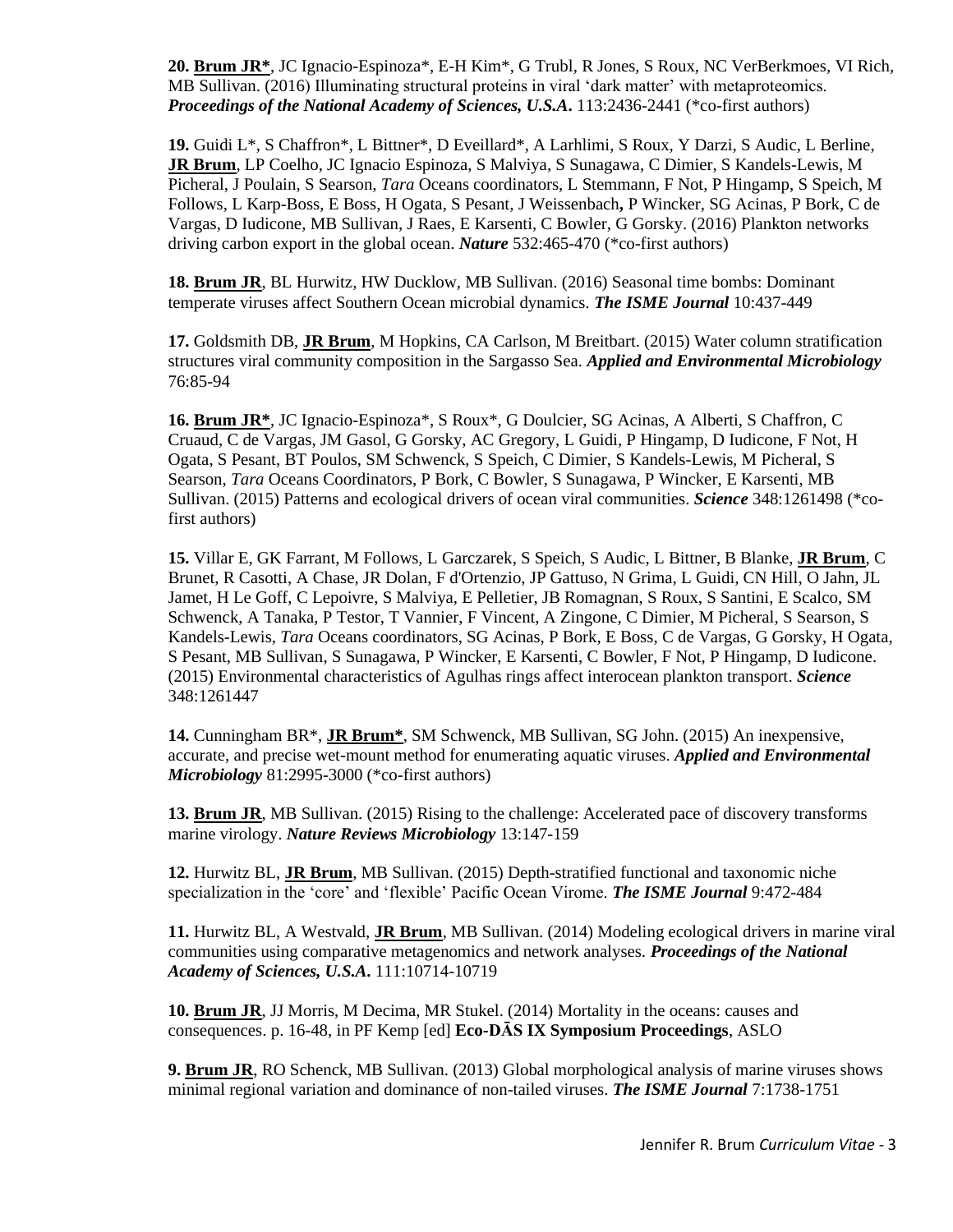**20. Brum JR\***, JC Ignacio-Espinoza\*, E-H Kim\*, G Trubl, R Jones, S Roux, NC VerBerkmoes, VI Rich, MB Sullivan. (2016) Illuminating structural proteins in viral 'dark matter' with metaproteomics. *Proceedings of the National Academy of Sciences, U.S.A***.** 113:2436-2441 (\*co-first authors)

**19.** Guidi L\*, S Chaffron\*, L Bittner\*, D Eveillard\*, A Larhlimi, S Roux, Y Darzi, S Audic, L Berline, **JR Brum**, LP Coelho, JC Ignacio Espinoza, S Malviya, S Sunagawa, C Dimier, S Kandels-Lewis, M Picheral, J Poulain, S Searson, *Tara* Oceans coordinators, L Stemmann, F Not, P Hingamp, S Speich, M Follows, L Karp-Boss, E Boss, H Ogata, S Pesant, J Weissenbach**,** P Wincker, SG Acinas, P Bork, C de Vargas, D Iudicone, MB Sullivan, J Raes, E Karsenti, C Bowler, G Gorsky. (2016) Plankton networks driving carbon export in the global ocean. *Nature* 532:465-470 (\*co-first authors)

**18. Brum JR**, BL Hurwitz, HW Ducklow, MB Sullivan. (2016) Seasonal time bombs: Dominant temperate viruses affect Southern Ocean microbial dynamics. *The ISME Journal* 10:437-449

**17.** Goldsmith DB, **JR Brum**, M Hopkins, CA Carlson, M Breitbart. (2015) Water column stratification structures viral community composition in the Sargasso Sea. *Applied and Environmental Microbiology* 76:85-94

**16. Brum JR\***, JC Ignacio-Espinoza\*, S Roux\*, G Doulcier, SG Acinas, A Alberti, S Chaffron, C Cruaud, C de Vargas, JM Gasol, G Gorsky, AC Gregory, L Guidi, P Hingamp, D Iudicone, F Not, H Ogata, S Pesant, BT Poulos, SM Schwenck, S Speich, C Dimier, S Kandels-Lewis, M Picheral, S Searson, *Tara* Oceans Coordinators, P Bork, C Bowler, S Sunagawa, P Wincker, E Karsenti, MB Sullivan. (2015) Patterns and ecological drivers of ocean viral communities. *Science* 348:1261498 (\*cofirst authors)

**15.** Villar E, GK Farrant, M Follows, L Garczarek, S Speich, S Audic, L Bittner, B Blanke, **JR Brum**, C Brunet, R Casotti, A Chase, JR Dolan, F d'Ortenzio, JP Gattuso, N Grima, L Guidi, CN Hill, O Jahn, JL Jamet, H Le Goff, C Lepoivre, S Malviya, E Pelletier, JB Romagnan, S Roux, S Santini, E Scalco, SM Schwenck, A Tanaka, P Testor, T Vannier, F Vincent, A Zingone, C Dimier, M Picheral, S Searson, S Kandels-Lewis, *Tara* Oceans coordinators, SG Acinas, P Bork, E Boss, C de Vargas, G Gorsky, H Ogata, S Pesant, MB Sullivan, S Sunagawa, P Wincker, E Karsenti, C Bowler, F Not, P Hingamp, D Iudicone. (2015) Environmental characteristics of Agulhas rings affect interocean plankton transport. *Science* 348:1261447

**14.** Cunningham BR\*, **JR Brum\***, SM Schwenck, MB Sullivan, SG John. (2015) An inexpensive, accurate, and precise wet-mount method for enumerating aquatic viruses. *Applied and Environmental Microbiology* 81:2995-3000 (\*co-first authors)

**13. Brum JR**, MB Sullivan. (2015) Rising to the challenge: Accelerated pace of discovery transforms marine virology. *Nature Reviews Microbiology* 13:147-159

**12.** Hurwitz BL, **JR Brum**, MB Sullivan. (2015) Depth-stratified functional and taxonomic niche specialization in the 'core' and 'flexible' Pacific Ocean Virome. *The ISME Journal* 9:472-484

**11.** Hurwitz BL, A Westvald, **JR Brum**, MB Sullivan. (2014) Modeling ecological drivers in marine viral communities using comparative metagenomics and network analyses. *Proceedings of the National Academy of Sciences, U.S.A***.** 111:10714-10719

**10. Brum JR**, JJ Morris, M Decima, MR Stukel. (2014) Mortality in the oceans: causes and consequences. p. 16-48, in PF Kemp [ed] **Eco-DĀS IX Symposium Proceedings**, ASLO

**9. Brum JR**, RO Schenck, MB Sullivan. (2013) Global morphological analysis of marine viruses shows minimal regional variation and dominance of non-tailed viruses. *The ISME Journal* 7:1738-1751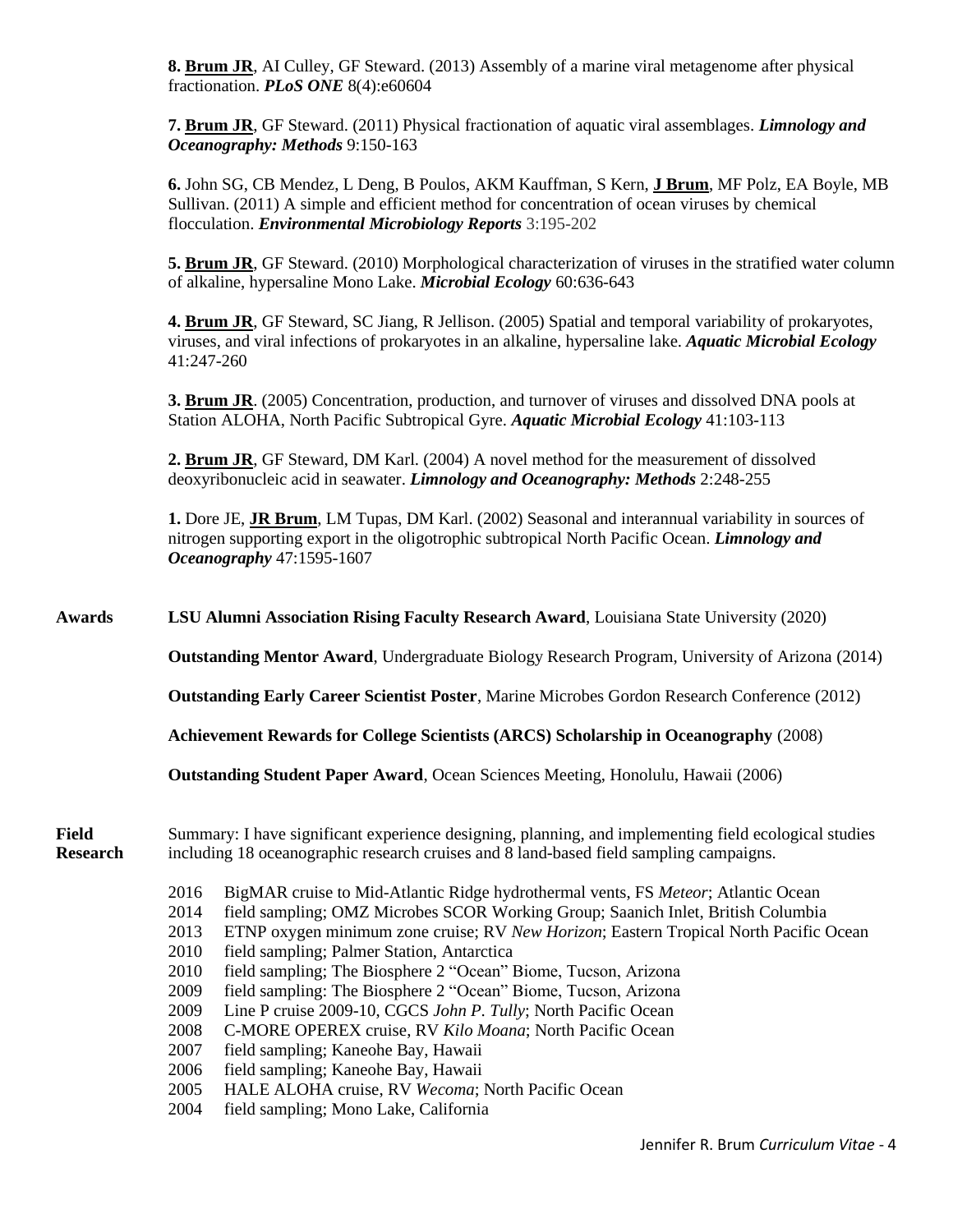**8. Brum JR**, AI Culley, GF Steward. (2013) Assembly of a marine viral metagenome after physical fractionation. *PLoS ONE* 8(4):e60604

**7. Brum JR**, GF Steward. (2011) Physical fractionation of aquatic viral assemblages. *Limnology and Oceanography: Methods* 9:150-163

**6.** John SG, CB Mendez, L Deng, B Poulos, AKM Kauffman, S Kern, **J Brum**, MF Polz, EA Boyle, MB Sullivan. (2011) A simple and efficient method for concentration of ocean viruses by chemical flocculation. *Environmental Microbiology Reports* 3:195-202

**5. Brum JR**, GF Steward. (2010) Morphological characterization of viruses in the stratified water column of alkaline, hypersaline Mono Lake. *Microbial Ecology* 60:636-643

**4. Brum JR**, GF Steward, SC Jiang, R Jellison. (2005) Spatial and temporal variability of prokaryotes, viruses, and viral infections of prokaryotes in an alkaline, hypersaline lake. *Aquatic Microbial Ecology* 41:247-260

**3. Brum JR**. (2005) Concentration, production, and turnover of viruses and dissolved DNA pools at Station ALOHA, North Pacific Subtropical Gyre. *Aquatic Microbial Ecology* 41:103-113

**2. Brum JR**, GF Steward, DM Karl. (2004) A novel method for the measurement of dissolved deoxyribonucleic acid in seawater. *Limnology and Oceanography: Methods* 2:248-255

**1.** Dore JE, **JR Brum**, LM Tupas, DM Karl. (2002) Seasonal and interannual variability in sources of nitrogen supporting export in the oligotrophic subtropical North Pacific Ocean. *Limnology and Oceanography* 47:1595-1607

**Awards LSU Alumni Association Rising Faculty Research Award**, Louisiana State University (2020) **Outstanding Mentor Award**, Undergraduate Biology Research Program, University of Arizona (2014) **Outstanding Early Career Scientist Poster**, Marine Microbes Gordon Research Conference (2012) **Achievement Rewards for College Scientists (ARCS) Scholarship in Oceanography** (2008) **Outstanding Student Paper Award**, Ocean Sciences Meeting, Honolulu, Hawaii (2006) **Field** Summary: I have significant experience designing, planning, and implementing field ecological studies **Research** including 18 oceanographic research cruises and 8 land-based field sampling campaigns. 2016 BigMAR cruise to Mid-Atlantic Ridge hydrothermal vents, FS *Meteor*; Atlantic Ocean 2014 field sampling; OMZ Microbes SCOR Working Group; Saanich Inlet, British Columbia 2013 ETNP oxygen minimum zone cruise; RV *New Horizon*; Eastern Tropical North Pacific Ocean 2010 field sampling; Palmer Station, Antarctica 2010 field sampling; The Biosphere 2 "Ocean" Biome, Tucson, Arizona 2009 field sampling: The Biosphere 2 "Ocean" Biome, Tucson, Arizona 2009 Line P cruise 2009-10, CGCS *John P. Tully*; North Pacific Ocean 2008 C-MORE OPEREX cruise, RV *Kilo Moana*; North Pacific Ocean 2007 field sampling; Kaneohe Bay, Hawaii 2006 field sampling; Kaneohe Bay, Hawaii 2005 HALE ALOHA cruise, RV *Wecoma*; North Pacific Ocean 2004 field sampling; Mono Lake, California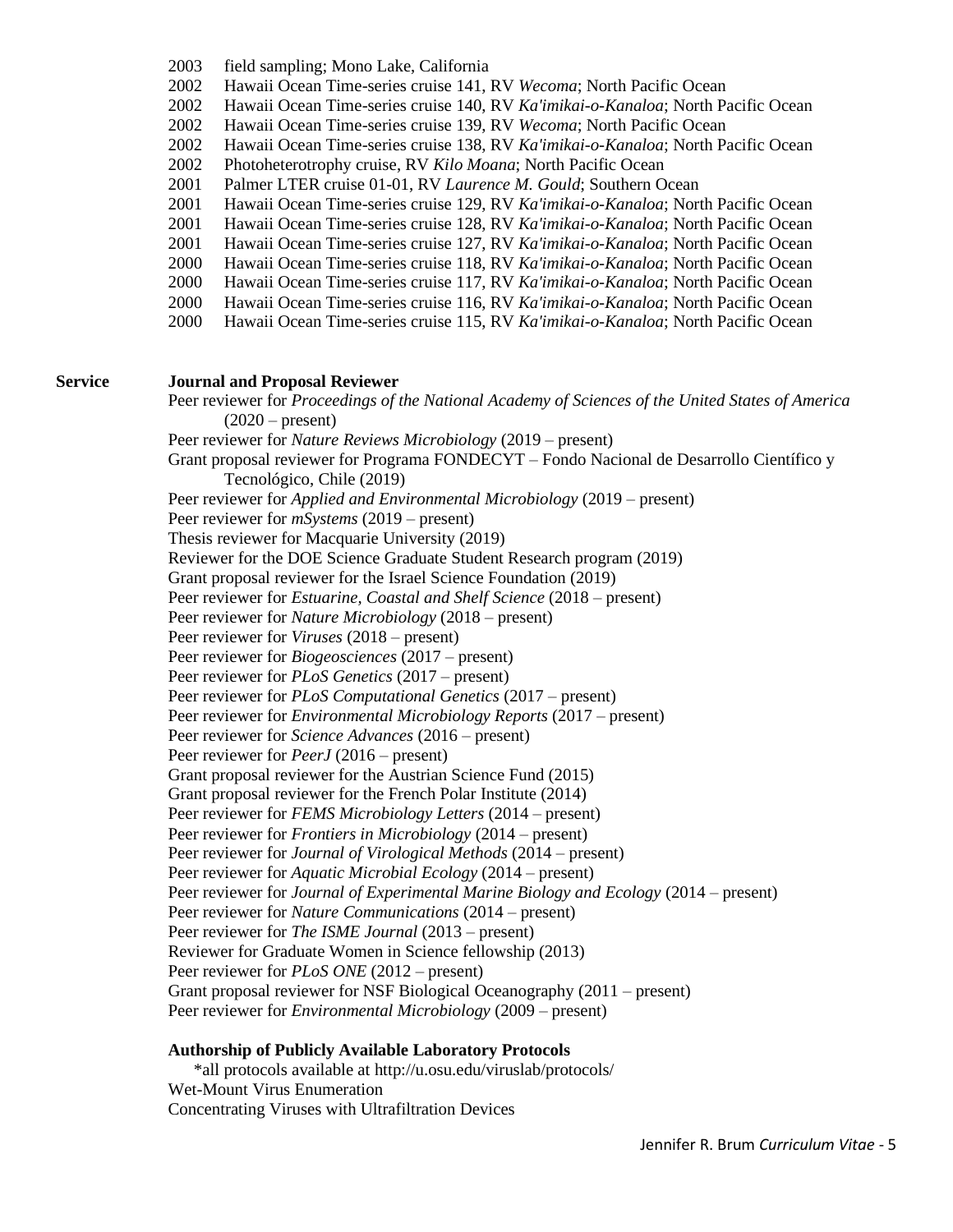- 2003 field sampling; Mono Lake, California
- 2002 Hawaii Ocean Time-series cruise 141, RV *Wecoma*; North Pacific Ocean
- 2002 Hawaii Ocean Time-series cruise 140, RV *Ka'imikai-o-Kanaloa*; North Pacific Ocean
- 2002 Hawaii Ocean Time-series cruise 139, RV *Wecoma*; North Pacific Ocean
- 2002 Hawaii Ocean Time-series cruise 138, RV *Ka'imikai-o-Kanaloa*; North Pacific Ocean
- 2002 Photoheterotrophy cruise, RV *Kilo Moana*; North Pacific Ocean
- 2001 Palmer LTER cruise 01-01, RV *Laurence M. Gould*; Southern Ocean
- 2001 Hawaii Ocean Time-series cruise 129, RV *Ka'imikai-o-Kanaloa*; North Pacific Ocean
- 2001 Hawaii Ocean Time-series cruise 128, RV *Ka'imikai-o-Kanaloa*; North Pacific Ocean
- 2001 Hawaii Ocean Time-series cruise 127, RV *Ka'imikai-o-Kanaloa*; North Pacific Ocean
- 2000 Hawaii Ocean Time-series cruise 118, RV *Ka'imikai-o-Kanaloa*; North Pacific Ocean
- 2000 Hawaii Ocean Time-series cruise 117, RV *Ka'imikai-o-Kanaloa*; North Pacific Ocean
- 2000 Hawaii Ocean Time-series cruise 116, RV *Ka'imikai-o-Kanaloa*; North Pacific Ocean
- 2000 Hawaii Ocean Time-series cruise 115, RV *Ka'imikai-o-Kanaloa*; North Pacific Ocean

#### **Service Journal and Proposal Reviewer**

Peer reviewer for *Proceedings of the National Academy of Sciences of the United States of America*  $(2020 - present)$ Peer reviewer for *Nature Reviews Microbiology* (2019 – present) Grant proposal reviewer for Programa FONDECYT – Fondo Nacional de Desarrollo Científico y Tecnológico, Chile (2019) Peer reviewer for *Applied and Environmental Microbiology* (2019 – present) Peer reviewer for *mSystems* (2019 – present) Thesis reviewer for Macquarie University (2019) Reviewer for the DOE Science Graduate Student Research program (2019) Grant proposal reviewer for the Israel Science Foundation (2019) Peer reviewer for *Estuarine, Coastal and Shelf Science* (2018 – present) Peer reviewer for *Nature Microbiology* (2018 – present) Peer reviewer for *Viruses* (2018 – present) Peer reviewer for *Biogeosciences* (2017 – present) Peer reviewer for *PLoS Genetics* (2017 – present) Peer reviewer for *PLoS Computational Genetics* (2017 – present) Peer reviewer for *Environmental Microbiology Reports* (2017 – present) Peer reviewer for *Science Advances* (2016 – present) Peer reviewer for *PeerJ* (2016 – present) Grant proposal reviewer for the Austrian Science Fund (2015) Grant proposal reviewer for the French Polar Institute (2014) Peer reviewer for *FEMS Microbiology Letters* (2014 – present) Peer reviewer for *Frontiers in Microbiology* (2014 – present) Peer reviewer for *Journal of Virological Methods* (2014 – present) Peer reviewer for *Aquatic Microbial Ecology* (2014 – present) Peer reviewer for *Journal of Experimental Marine Biology and Ecology* (2014 – present) Peer reviewer for *Nature Communications* (2014 – present) Peer reviewer for *The ISME Journal* (2013 – present) Reviewer for Graduate Women in Science fellowship (2013) Peer reviewer for *PLoS ONE* (2012 – present) Grant proposal reviewer for NSF Biological Oceanography (2011 – present) Peer reviewer for *Environmental Microbiology* (2009 – present)

#### **Authorship of Publicly Available Laboratory Protocols**

\*all protocols available at http://u.osu.edu/viruslab/protocols/ Wet-Mount Virus Enumeration Concentrating Viruses with Ultrafiltration Devices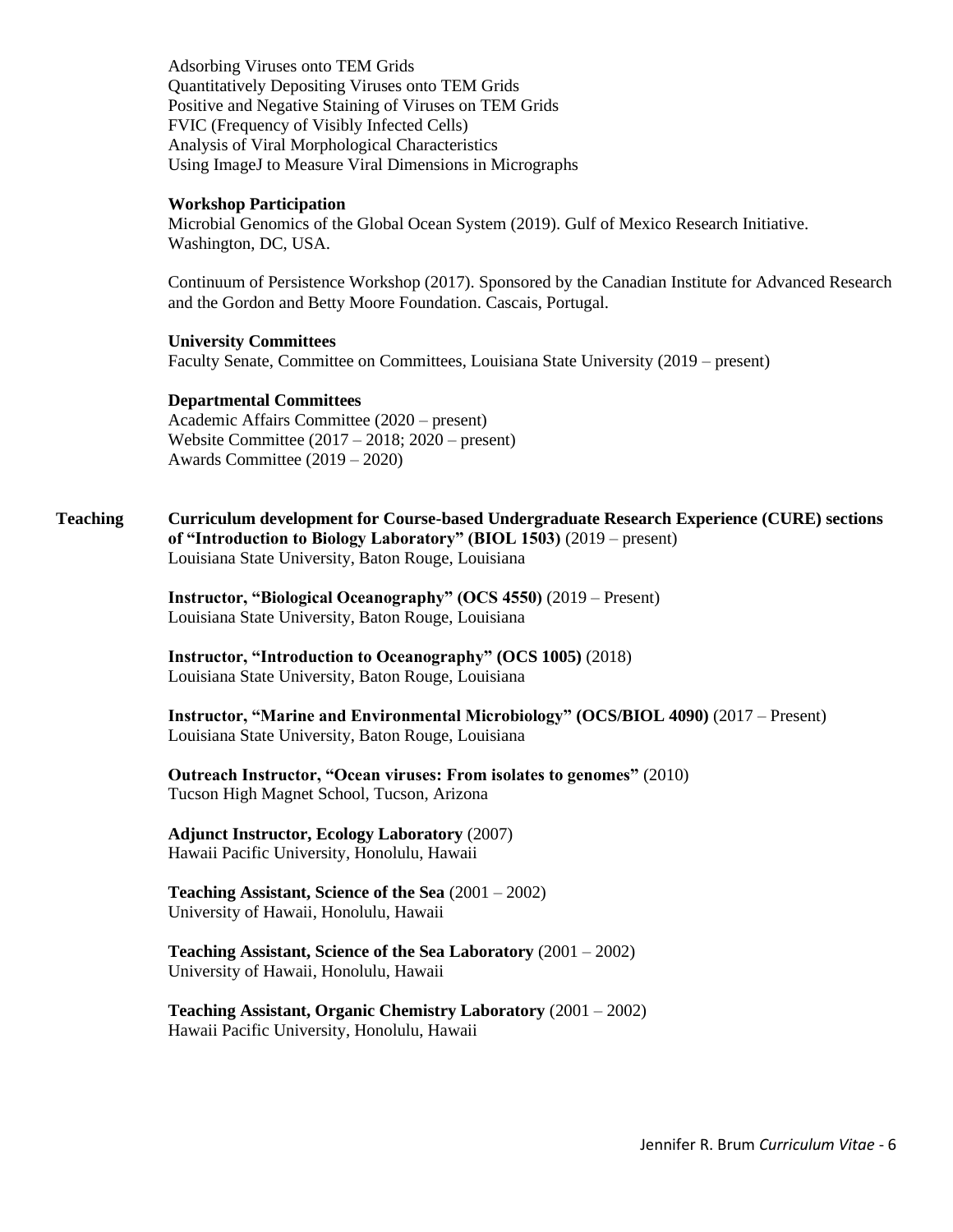Adsorbing Viruses onto TEM Grids Quantitatively Depositing Viruses onto TEM Grids Positive and Negative Staining of Viruses on TEM Grids FVIC (Frequency of Visibly Infected Cells) Analysis of Viral Morphological Characteristics Using ImageJ to Measure Viral Dimensions in Micrographs

#### **Workshop Participation**

Microbial Genomics of the Global Ocean System (2019). Gulf of Mexico Research Initiative. Washington, DC, USA.

Continuum of Persistence Workshop (2017). Sponsored by the Canadian Institute for Advanced Research and the Gordon and Betty Moore Foundation. Cascais, Portugal.

# **University Committees**

Faculty Senate, Committee on Committees, Louisiana State University (2019 – present)

#### **Departmental Committees**

Academic Affairs Committee (2020 – present) Website Committee (2017 – 2018; 2020 – present) Awards Committee (2019 – 2020)

**Teaching Curriculum development for Course-based Undergraduate Research Experience (CURE) sections of "Introduction to Biology Laboratory" (BIOL 1503)** (2019 – present) Louisiana State University, Baton Rouge, Louisiana

> **Instructor, "Biological Oceanography" (OCS 4550)** (2019 – Present) Louisiana State University, Baton Rouge, Louisiana

**Instructor, "Introduction to Oceanography" (OCS 1005)** (2018) Louisiana State University, Baton Rouge, Louisiana

**Instructor, "Marine and Environmental Microbiology" (OCS/BIOL 4090)** (2017 – Present) Louisiana State University, Baton Rouge, Louisiana

**Outreach Instructor, "Ocean viruses: From isolates to genomes"** (2010) Tucson High Magnet School, Tucson, Arizona

### **Adjunct Instructor, Ecology Laboratory** (2007) Hawaii Pacific University, Honolulu, Hawaii

**Teaching Assistant, Science of the Sea** (2001 – 2002) University of Hawaii, Honolulu, Hawaii

**Teaching Assistant, Science of the Sea Laboratory** (2001 – 2002) University of Hawaii, Honolulu, Hawaii

**Teaching Assistant, Organic Chemistry Laboratory** (2001 – 2002) Hawaii Pacific University, Honolulu, Hawaii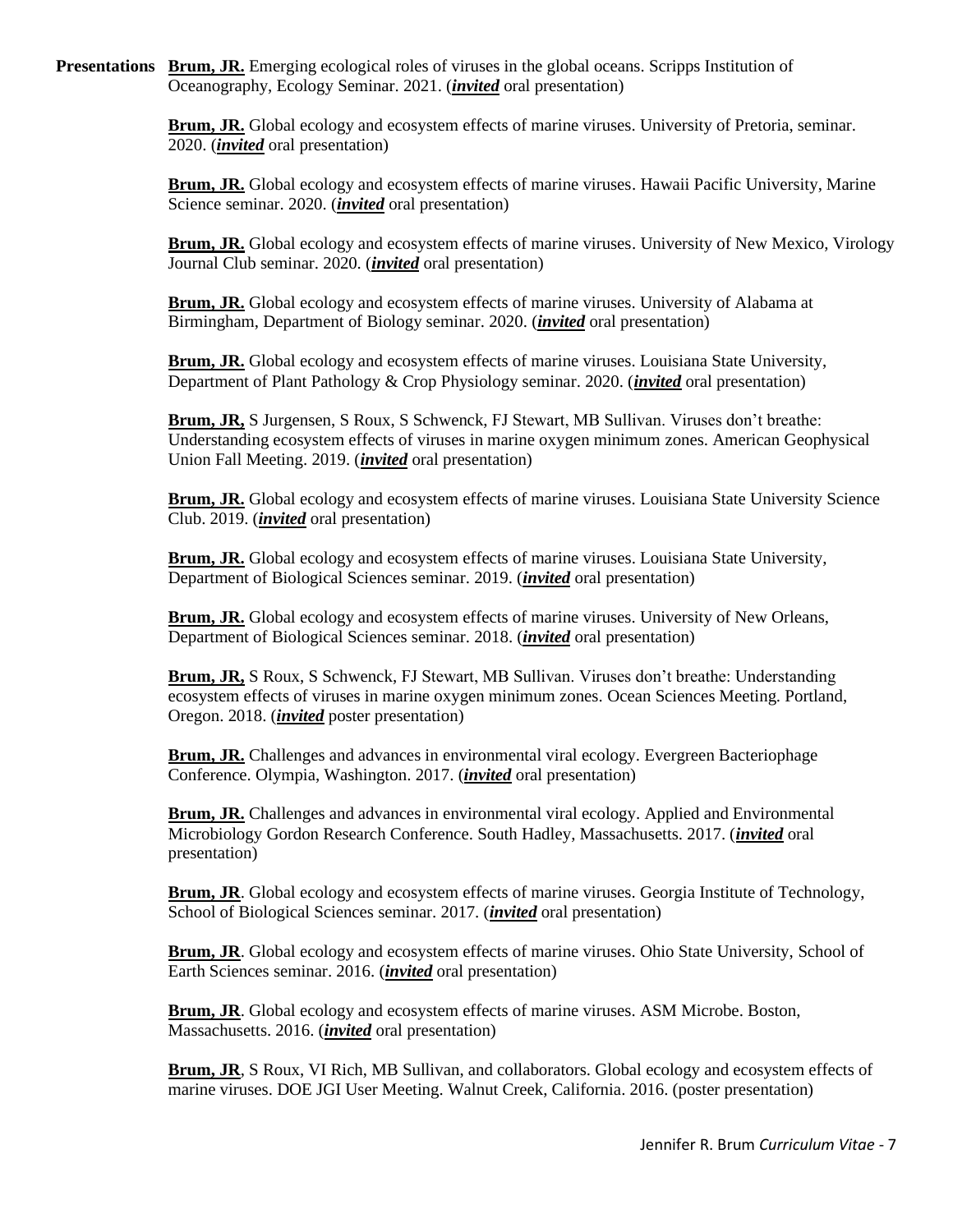**Presentations Brum, JR.** Emerging ecological roles of viruses in the global oceans. Scripps Institution of Oceanography, Ecology Seminar. 2021. (*invited* oral presentation)

> **Brum, JR.** Global ecology and ecosystem effects of marine viruses. University of Pretoria, seminar. 2020. (*invited* oral presentation)

**Brum, JR.** Global ecology and ecosystem effects of marine viruses. Hawaii Pacific University, Marine Science seminar. 2020. (*invited* oral presentation)

**Brum, JR.** Global ecology and ecosystem effects of marine viruses. University of New Mexico, Virology Journal Club seminar. 2020. (*invited* oral presentation)

**Brum, JR.** Global ecology and ecosystem effects of marine viruses. University of Alabama at Birmingham, Department of Biology seminar. 2020. (*invited* oral presentation)

**Brum, JR.** Global ecology and ecosystem effects of marine viruses. Louisiana State University, Department of Plant Pathology & Crop Physiology seminar. 2020. (*invited* oral presentation)

**Brum, JR,** S Jurgensen, S Roux, S Schwenck, FJ Stewart, MB Sullivan. Viruses don't breathe: Understanding ecosystem effects of viruses in marine oxygen minimum zones. American Geophysical Union Fall Meeting. 2019. (*invited* oral presentation)

**Brum, JR.** Global ecology and ecosystem effects of marine viruses. Louisiana State University Science Club. 2019. (*invited* oral presentation)

**Brum, JR.** Global ecology and ecosystem effects of marine viruses. Louisiana State University, Department of Biological Sciences seminar. 2019. (*invited* oral presentation)

**Brum, JR.** Global ecology and ecosystem effects of marine viruses. University of New Orleans, Department of Biological Sciences seminar. 2018. (*invited* oral presentation)

**Brum, JR,** S Roux, S Schwenck, FJ Stewart, MB Sullivan. Viruses don't breathe: Understanding ecosystem effects of viruses in marine oxygen minimum zones. Ocean Sciences Meeting. Portland, Oregon. 2018. (*invited* poster presentation)

**Brum, JR.** Challenges and advances in environmental viral ecology. Evergreen Bacteriophage Conference. Olympia, Washington. 2017. (*invited* oral presentation)

**Brum, JR.** Challenges and advances in environmental viral ecology. Applied and Environmental Microbiology Gordon Research Conference. South Hadley, Massachusetts. 2017. (*invited* oral presentation)

**Brum, JR**. Global ecology and ecosystem effects of marine viruses. Georgia Institute of Technology, School of Biological Sciences seminar. 2017. (*invited* oral presentation)

**Brum, JR**. Global ecology and ecosystem effects of marine viruses. Ohio State University, School of Earth Sciences seminar. 2016. (*invited* oral presentation)

**Brum, JR**. Global ecology and ecosystem effects of marine viruses. ASM Microbe. Boston, Massachusetts. 2016. (*invited* oral presentation)

**Brum, JR**, S Roux, VI Rich, MB Sullivan, and collaborators. Global ecology and ecosystem effects of marine viruses. DOE JGI User Meeting. Walnut Creek, California. 2016. (poster presentation)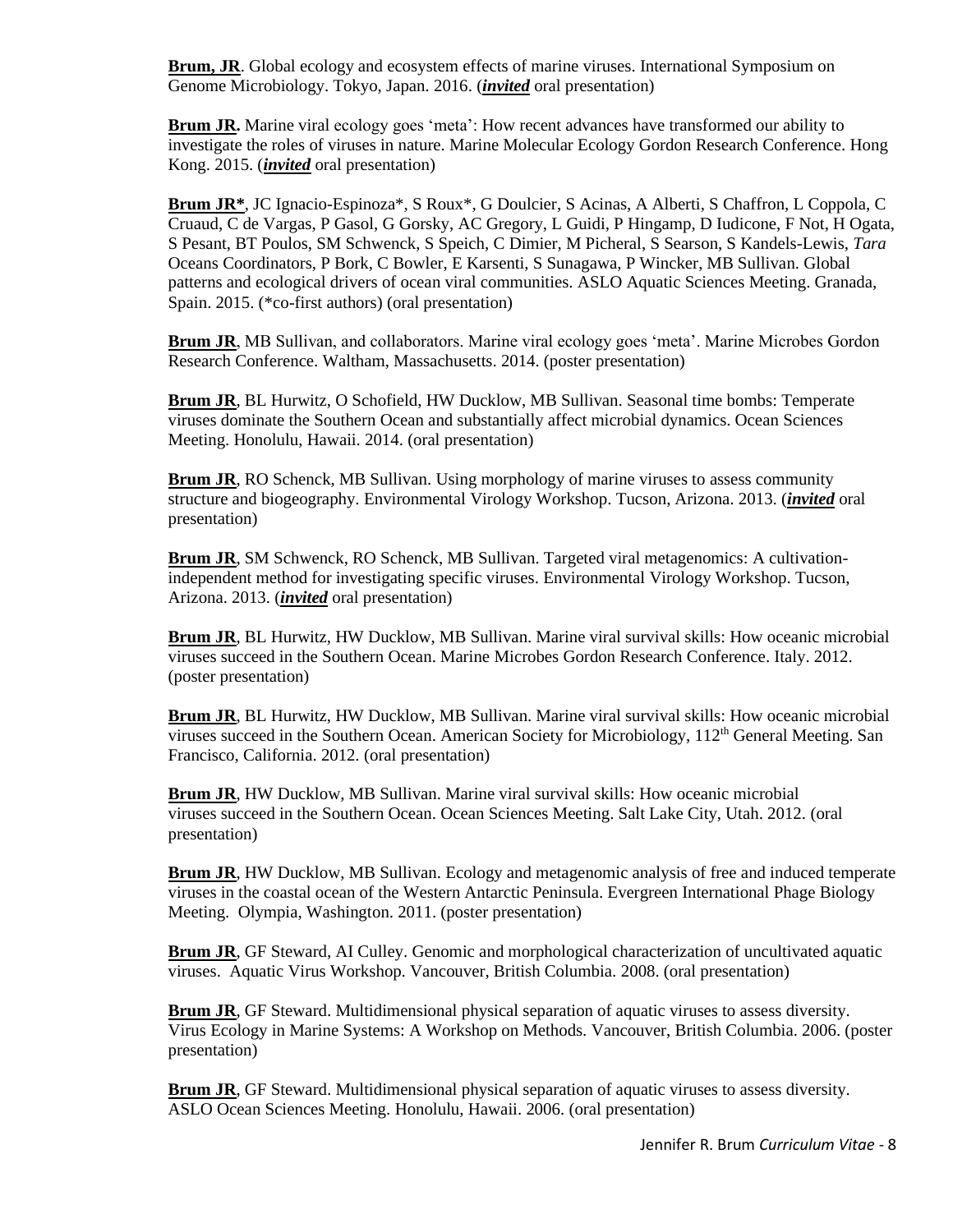**Brum, JR.** Global ecology and ecosystem effects of marine viruses. International Symposium on Genome Microbiology. Tokyo, Japan. 2016. (*invited* oral presentation)

**Brum JR.** Marine viral ecology goes 'meta': How recent advances have transformed our ability to investigate the roles of viruses in nature. Marine Molecular Ecology Gordon Research Conference. Hong Kong. 2015. (*invited* oral presentation)

**Brum JR\***, JC Ignacio-Espinoza\*, S Roux\*, G Doulcier, S Acinas, A Alberti, S Chaffron, L Coppola, C Cruaud, C de Vargas, P Gasol, G Gorsky, AC Gregory, L Guidi, P Hingamp, D Iudicone, F Not, H Ogata, S Pesant, BT Poulos, SM Schwenck, S Speich, C Dimier, M Picheral, S Searson, S Kandels-Lewis, *Tara* Oceans Coordinators, P Bork, C Bowler, E Karsenti, S Sunagawa, P Wincker, MB Sullivan. Global patterns and ecological drivers of ocean viral communities. ASLO Aquatic Sciences Meeting. Granada, Spain. 2015. (\*co-first authors) (oral presentation)

**Brum JR**, MB Sullivan, and collaborators. Marine viral ecology goes 'meta'. Marine Microbes Gordon Research Conference. Waltham, Massachusetts. 2014. (poster presentation)

**Brum JR**, BL Hurwitz, O Schofield, HW Ducklow, MB Sullivan. Seasonal time bombs: Temperate viruses dominate the Southern Ocean and substantially affect microbial dynamics. Ocean Sciences Meeting. Honolulu, Hawaii. 2014. (oral presentation)

**Brum JR**, RO Schenck, MB Sullivan. Using morphology of marine viruses to assess community structure and biogeography. Environmental Virology Workshop. Tucson, Arizona. 2013. (*invited* oral presentation)

**Brum JR**, SM Schwenck, RO Schenck, MB Sullivan. Targeted viral metagenomics: A cultivationindependent method for investigating specific viruses. Environmental Virology Workshop. Tucson, Arizona. 2013. (*invited* oral presentation)

**Brum JR**, BL Hurwitz, HW Ducklow, MB Sullivan. Marine viral survival skills: How oceanic microbial viruses succeed in the Southern Ocean. Marine Microbes Gordon Research Conference. Italy. 2012. (poster presentation)

**Brum JR**, BL Hurwitz, HW Ducklow, MB Sullivan. Marine viral survival skills: How oceanic microbial viruses succeed in the Southern Ocean. American Society for Microbiology,  $112<sup>th</sup>$  General Meeting. San Francisco, California. 2012. (oral presentation)

**Brum JR**, HW Ducklow, MB Sullivan. Marine viral survival skills: How oceanic microbial viruses succeed in the Southern Ocean. Ocean Sciences Meeting. Salt Lake City, Utah. 2012. (oral presentation)

**Brum JR**, HW Ducklow, MB Sullivan. Ecology and metagenomic analysis of free and induced temperate viruses in the coastal ocean of the Western Antarctic Peninsula. Evergreen International Phage Biology Meeting. Olympia, Washington. 2011. (poster presentation)

**Brum JR**, GF Steward, AI Culley. Genomic and morphological characterization of uncultivated aquatic viruses. Aquatic Virus Workshop. Vancouver, British Columbia. 2008. (oral presentation)

**Brum JR**, GF Steward. Multidimensional physical separation of aquatic viruses to assess diversity. Virus Ecology in Marine Systems: A Workshop on Methods. Vancouver, British Columbia. 2006. (poster presentation)

**Brum JR**, GF Steward. Multidimensional physical separation of aquatic viruses to assess diversity. ASLO Ocean Sciences Meeting. Honolulu, Hawaii. 2006. (oral presentation)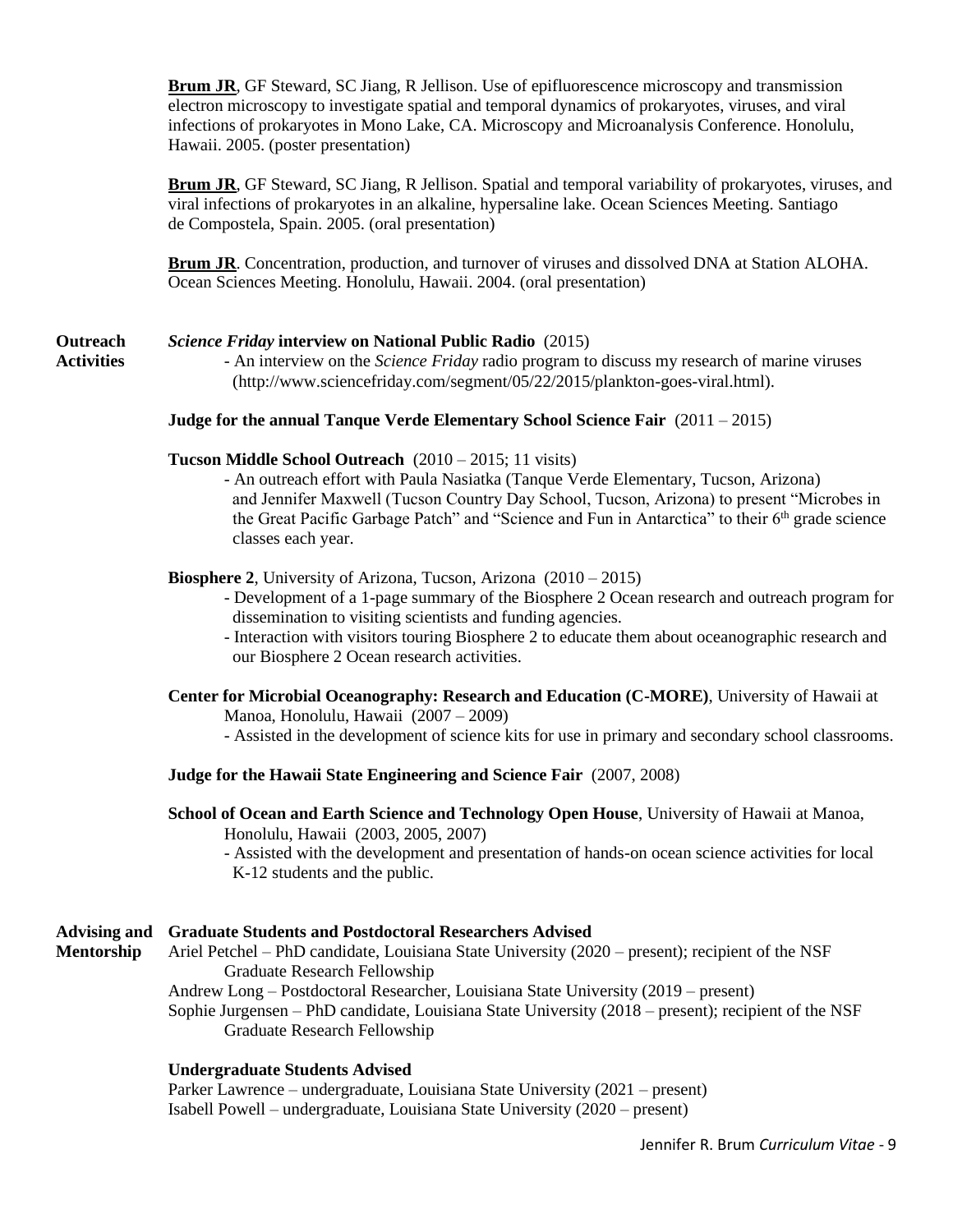**Brum JR**, GF Steward, SC Jiang, R Jellison. Use of epifluorescence microscopy and transmission electron microscopy to investigate spatial and temporal dynamics of prokaryotes, viruses, and viral infections of prokaryotes in Mono Lake, CA. Microscopy and Microanalysis Conference. Honolulu, Hawaii. 2005. (poster presentation)

**Brum JR**, GF Steward, SC Jiang, R Jellison. Spatial and temporal variability of prokaryotes, viruses, and viral infections of prokaryotes in an alkaline, hypersaline lake. Ocean Sciences Meeting. Santiago de Compostela, Spain. 2005. (oral presentation)

**Brum JR**. Concentration, production, and turnover of viruses and dissolved DNA at Station ALOHA. Ocean Sciences Meeting. Honolulu, Hawaii. 2004. (oral presentation)

# **Outreach** *Science Friday* **interview on National Public Radio** (2015)

**Activities** - An interview on the *Science Friday* radio program to discuss my research of marine viruses (http://www.sciencefriday.com/segment/05/22/2015/plankton-goes-viral.html).

### **Judge for the annual Tanque Verde Elementary School Science Fair** (2011 – 2015)

### **Tucson Middle School Outreach** (2010 – 2015; 11 visits)

- An outreach effort with Paula Nasiatka (Tanque Verde Elementary, Tucson, Arizona) and Jennifer Maxwell (Tucson Country Day School, Tucson, Arizona) to present "Microbes in the Great Pacific Garbage Patch" and "Science and Fun in Antarctica" to their 6<sup>th</sup> grade science classes each year.

### **Biosphere 2**, University of Arizona, Tucson, Arizona (2010 – 2015)

- Development of a 1-page summary of the Biosphere 2 Ocean research and outreach program for dissemination to visiting scientists and funding agencies.
- Interaction with visitors touring Biosphere 2 to educate them about oceanographic research and our Biosphere 2 Ocean research activities.

### **Center for Microbial Oceanography: Research and Education (C-MORE)**, University of Hawaii at Manoa, Honolulu, Hawaii (2007 – 2009)

- Assisted in the development of science kits for use in primary and secondary school classrooms.

### **Judge for the Hawaii State Engineering and Science Fair** (2007, 2008)

# **School of Ocean and Earth Science and Technology Open House**, University of Hawaii at Manoa, Honolulu, Hawaii (2003, 2005, 2007)

- Assisted with the development and presentation of hands-on ocean science activities for local K-12 students and the public.

# **Advising and Graduate Students and Postdoctoral Researchers Advised**

- **Mentorship** Ariel Petchel PhD candidate, Louisiana State University (2020 present); recipient of the NSF Graduate Research Fellowship
	- Andrew Long Postdoctoral Researcher, Louisiana State University (2019 present) Sophie Jurgensen – PhD candidate, Louisiana State University (2018 – present); recipient of the NSF Graduate Research Fellowship

# **Undergraduate Students Advised**

Parker Lawrence – undergraduate, Louisiana State University (2021 – present) Isabell Powell – undergraduate, Louisiana State University (2020 – present)